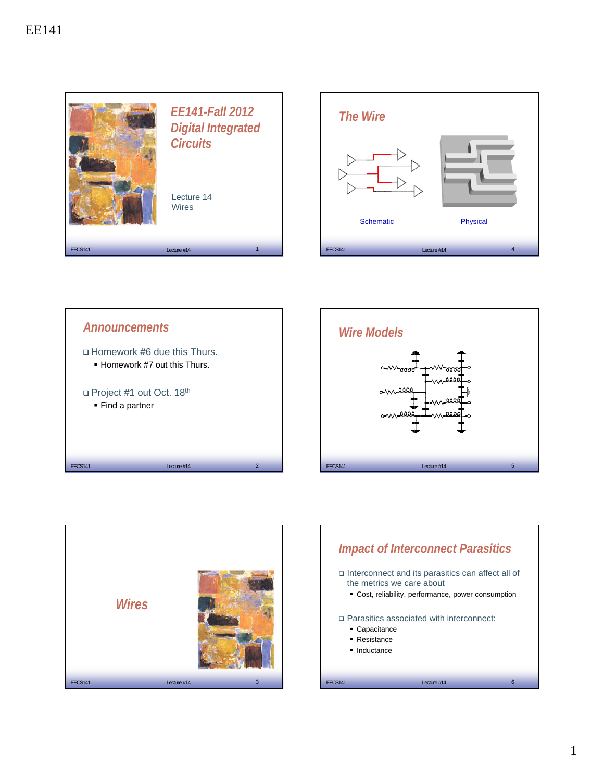









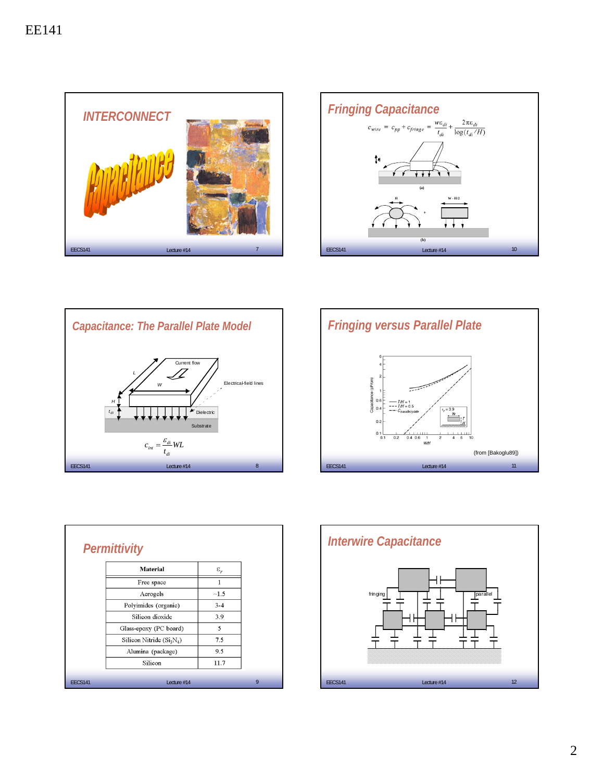









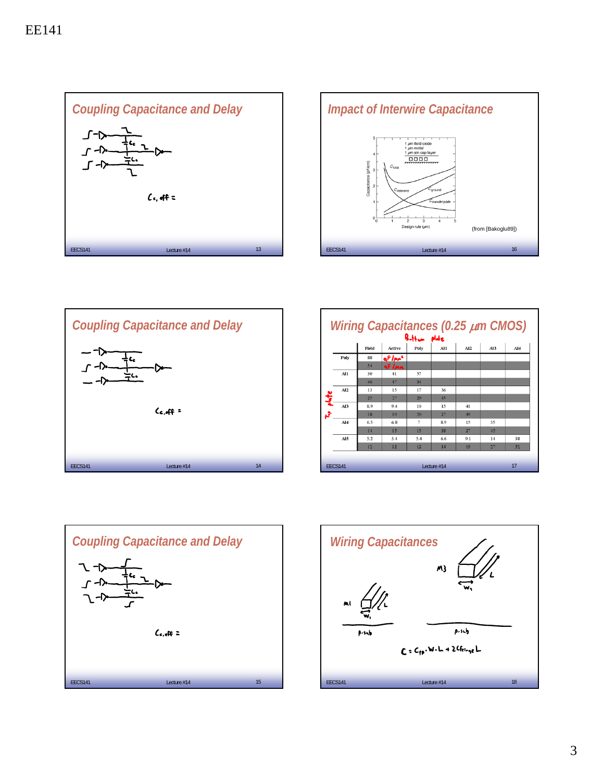





|                 |       |                    | Botton plote   |     |     |                 |                 |
|-----------------|-------|--------------------|----------------|-----|-----|-----------------|-----------------|
|                 | Field | Active             | Poly           | A11 | AI2 | Al <sub>3</sub> | Al <sub>4</sub> |
| Poly            | 88    | af/pr <sup>2</sup> |                |     |     |                 |                 |
|                 | 54    | af L               |                |     |     |                 |                 |
| Al1             | 30    | 41                 | 57             |     |     |                 |                 |
|                 | 40    | 47                 | 54             |     |     |                 |                 |
| AI2             | 13    | 15                 | 17             | 36  |     |                 |                 |
|                 | 25    | 27                 | 29             | 45  |     |                 |                 |
| Al <sub>3</sub> | 8.9   | 9.4                | 10             | 15  | 41  |                 |                 |
|                 | 18    | 19                 | 20             | 27  | 49  |                 |                 |
| Al <sub>4</sub> | 6.5   | 6.8                | $\overline{7}$ | 8.9 | 15  | 35              |                 |
|                 | 14    | 15                 | 15             | 18  | 27  | 45              |                 |
| AI5             | 5.2   | 5.4                | 5.4            | 6.6 | 9.1 | 14              | 38              |
|                 | 12    | 12                 | 12             | 14  | 19  | 27              | 52              |



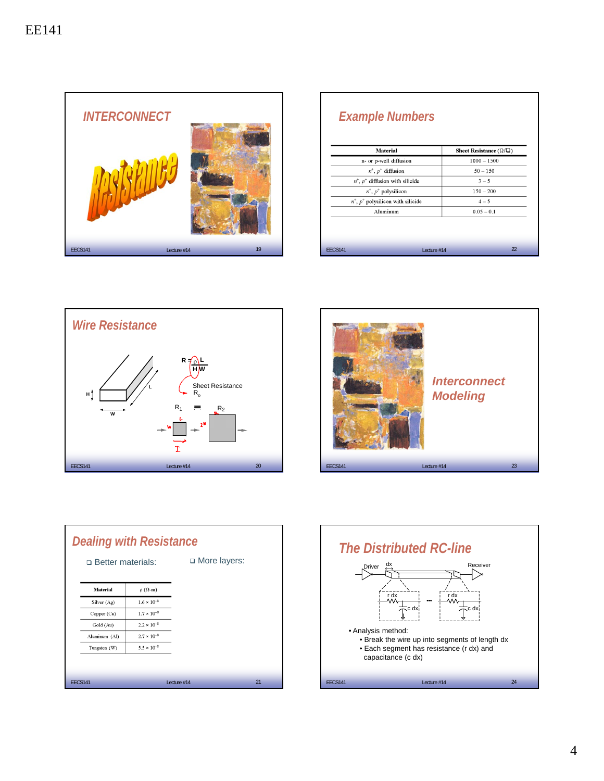

|                | <b>Material</b>                         | Sheet Resistance ( $\Omega/\square$ ) |  |  |  |
|----------------|-----------------------------------------|---------------------------------------|--|--|--|
|                | n- or p-well diffusion                  | $1000 - 1500$                         |  |  |  |
|                | $n^+$ , $p^+$ diffusion                 | $50 - 150$                            |  |  |  |
|                | $n^+$ , $p^+$ diffusion with silicide   | $3 - 5$                               |  |  |  |
|                | $n^+$ , $p^+$ polysilicon               | $150 - 200$                           |  |  |  |
|                | $n^+$ , $p^+$ polysilicon with silicide | $4 - 5$                               |  |  |  |
| Aluminum       |                                         | $0.05 - 0.1$                          |  |  |  |
|                |                                         |                                       |  |  |  |
| <b>EECS141</b> | Lecture $#14$                           | 22                                    |  |  |  |